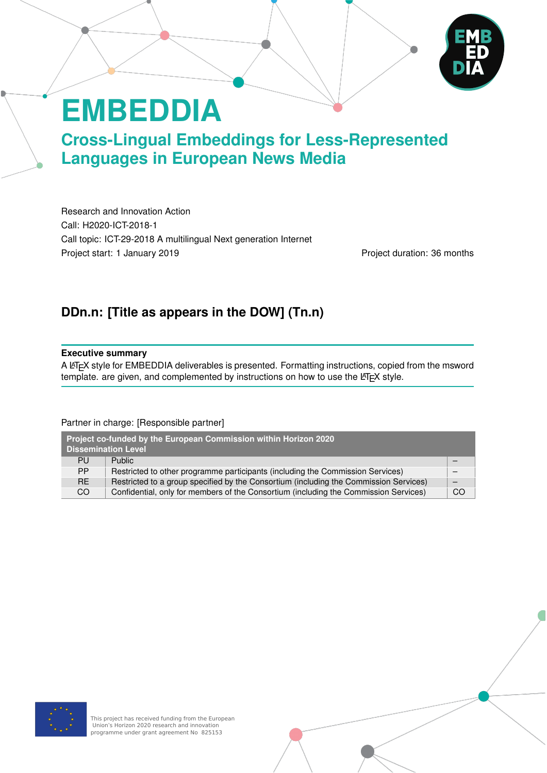# **EMBEDDIA**

**Cross-Lingual Embeddings for Less-Represented Languages in European News Media**

Research and Innovation Action Call: H2020-ICT-2018-1 Call topic: ICT-29-2018 A multilingual Next generation Internet Project start: 1 January 2019 **Project duration: 36 months** 

# **DDn.n: [Title as appears in the DOW] (Tn.n)**

#### **Executive summary**

A LATEX style for EMBEDDIA deliverables is presented. Formatting instructions, copied from the msword  $t$ emplate. are given, and complemented by instructions on how to use the LATEX style.

#### Partner in charge: [Responsible partner]

| Project co-funded by the European Commission within Horizon 2020<br><b>Dissemination Level</b> |                                                                                       |    |  |  |
|------------------------------------------------------------------------------------------------|---------------------------------------------------------------------------------------|----|--|--|
| <b>PU</b>                                                                                      | <b>Public</b>                                                                         |    |  |  |
| <b>PP</b>                                                                                      | Restricted to other programme participants (including the Commission Services)        |    |  |  |
| RE.                                                                                            | Restricted to a group specified by the Consortium (including the Commission Services) |    |  |  |
| CO.                                                                                            | Confidential, only for members of the Consortium (including the Commission Services)  | CO |  |  |

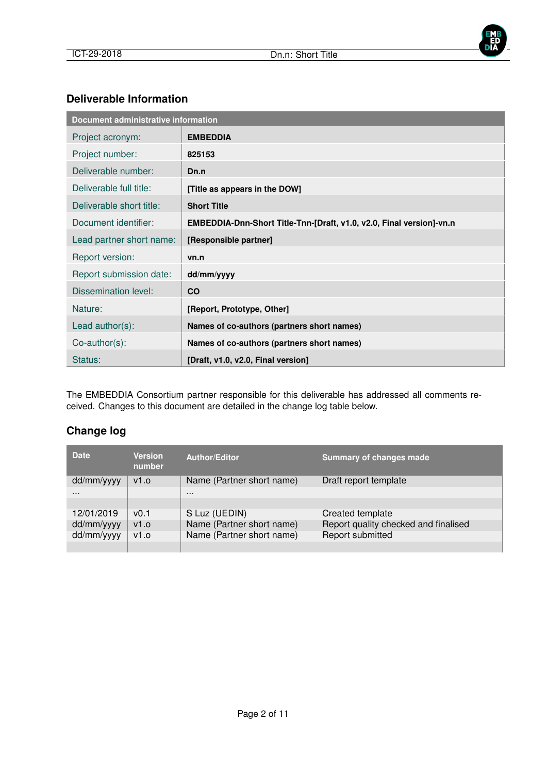

#### **Deliverable Information**

| Document administrative information |                                                                      |  |  |
|-------------------------------------|----------------------------------------------------------------------|--|--|
| Project acronym:                    | <b>EMBEDDIA</b>                                                      |  |  |
| Project number:                     | 825153                                                               |  |  |
| Deliverable number:                 | Dn.n                                                                 |  |  |
| Deliverable full title:             | [Title as appears in the DOW]                                        |  |  |
| Deliverable short title:            | <b>Short Title</b>                                                   |  |  |
| Document identifier:                | EMBEDDIA-Dnn-Short Title-Tnn-[Draft, v1.0, v2.0, Final version]-vn.n |  |  |
| Lead partner short name:            | [Responsible partner]                                                |  |  |
| Report version:                     | vn.n                                                                 |  |  |
| Report submission date:             | dd/mm/yyyy                                                           |  |  |
| <b>Dissemination level:</b>         | <b>CO</b>                                                            |  |  |
| Nature:                             | [Report, Prototype, Other]                                           |  |  |
| Lead $author(s)$ :                  | Names of co-authors (partners short names)                           |  |  |
| $Co$ -author $(s)$ :                | Names of co-authors (partners short names)                           |  |  |
| Status:                             | [Draft, v1.0, v2.0, Final version]                                   |  |  |

The EMBEDDIA Consortium partner responsible for this deliverable has addressed all comments received. Changes to this document are detailed in the change log table below.

#### **Change log**

| <b>Date</b> | <b>Version</b><br>number | <b>Author/Editor</b>      | <b>Summary of changes made</b>       |
|-------------|--------------------------|---------------------------|--------------------------------------|
| dd/mm/yyyy  | V1.0                     | Name (Partner short name) | Draft report template                |
| $\cdots$    |                          | $\cdots$                  |                                      |
|             |                          |                           |                                      |
| 12/01/2019  | v(0.1)                   | S Luz (UEDIN)             | Created template                     |
| dd/mm/yyyy  | v1.0                     | Name (Partner short name) | Report quality checked and finalised |
| dd/mm/yyyy  | v1.0                     | Name (Partner short name) | Report submitted                     |
|             |                          |                           |                                      |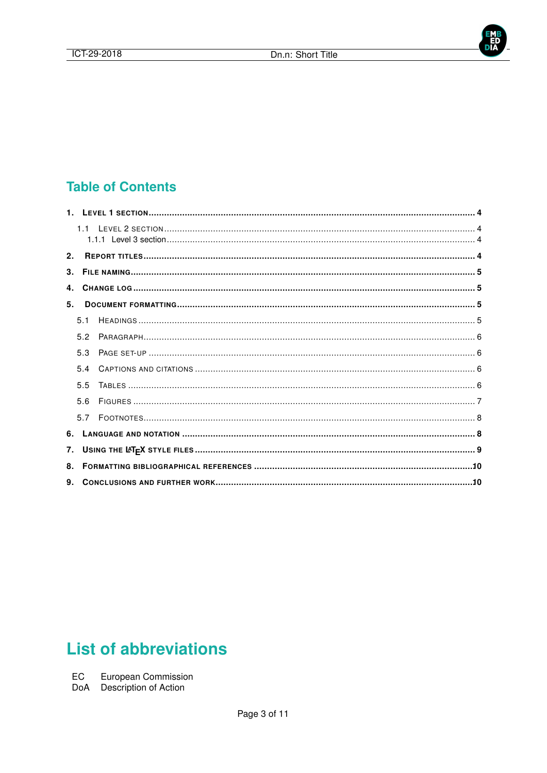

# **Table of Contents**

| 2.             |     |  |
|----------------|-----|--|
| 3 <sub>1</sub> |     |  |
|                |     |  |
| 5.             |     |  |
|                | 5.1 |  |
|                | 5.2 |  |
|                | 5.3 |  |
|                | 54  |  |
|                | 55  |  |
|                | 56  |  |
|                | 57  |  |
| 6.             |     |  |
| 7.             |     |  |
| 8.             |     |  |
|                |     |  |

# **List of abbreviations**

EC European Commission<br>DoA Description of Action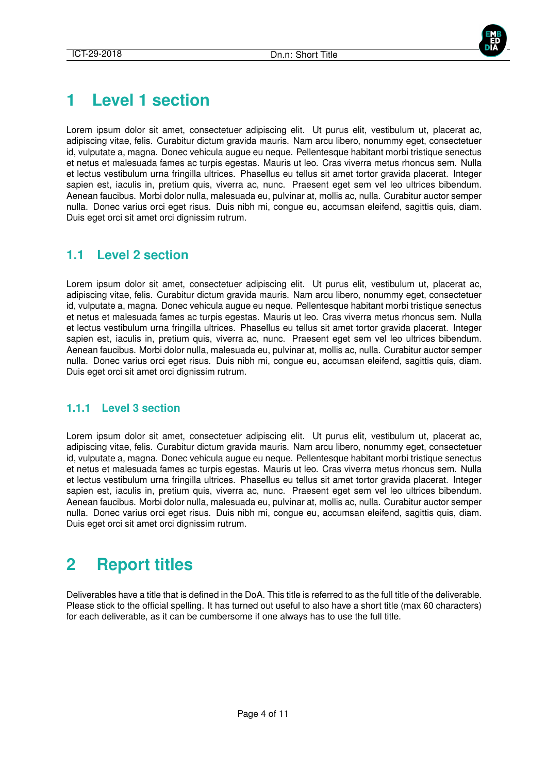

# **1 Level 1 section**

Lorem ipsum dolor sit amet, consectetuer adipiscing elit. Ut purus elit, vestibulum ut, placerat ac, adipiscing vitae, felis. Curabitur dictum gravida mauris. Nam arcu libero, nonummy eget, consectetuer id, vulputate a, magna. Donec vehicula augue eu neque. Pellentesque habitant morbi tristique senectus et netus et malesuada fames ac turpis egestas. Mauris ut leo. Cras viverra metus rhoncus sem. Nulla et lectus vestibulum urna fringilla ultrices. Phasellus eu tellus sit amet tortor gravida placerat. Integer sapien est, iaculis in, pretium quis, viverra ac, nunc. Praesent eget sem vel leo ultrices bibendum. Aenean faucibus. Morbi dolor nulla, malesuada eu, pulvinar at, mollis ac, nulla. Curabitur auctor semper nulla. Donec varius orci eget risus. Duis nibh mi, congue eu, accumsan eleifend, sagittis quis, diam. Duis eget orci sit amet orci dignissim rutrum.

### **1.1 Level 2 section**

Lorem ipsum dolor sit amet, consectetuer adipiscing elit. Ut purus elit, vestibulum ut, placerat ac, adipiscing vitae, felis. Curabitur dictum gravida mauris. Nam arcu libero, nonummy eget, consectetuer id, vulputate a, magna. Donec vehicula augue eu neque. Pellentesque habitant morbi tristique senectus et netus et malesuada fames ac turpis egestas. Mauris ut leo. Cras viverra metus rhoncus sem. Nulla et lectus vestibulum urna fringilla ultrices. Phasellus eu tellus sit amet tortor gravida placerat. Integer sapien est, iaculis in, pretium quis, viverra ac, nunc. Praesent eget sem vel leo ultrices bibendum. Aenean faucibus. Morbi dolor nulla, malesuada eu, pulvinar at, mollis ac, nulla. Curabitur auctor semper nulla. Donec varius orci eget risus. Duis nibh mi, congue eu, accumsan eleifend, sagittis quis, diam. Duis eget orci sit amet orci dignissim rutrum.

#### **1.1.1 Level 3 section**

Lorem ipsum dolor sit amet, consectetuer adipiscing elit. Ut purus elit, vestibulum ut, placerat ac, adipiscing vitae, felis. Curabitur dictum gravida mauris. Nam arcu libero, nonummy eget, consectetuer id, vulputate a, magna. Donec vehicula augue eu neque. Pellentesque habitant morbi tristique senectus et netus et malesuada fames ac turpis egestas. Mauris ut leo. Cras viverra metus rhoncus sem. Nulla et lectus vestibulum urna fringilla ultrices. Phasellus eu tellus sit amet tortor gravida placerat. Integer sapien est, iaculis in, pretium quis, viverra ac, nunc. Praesent eget sem vel leo ultrices bibendum. Aenean faucibus. Morbi dolor nulla, malesuada eu, pulvinar at, mollis ac, nulla. Curabitur auctor semper nulla. Donec varius orci eget risus. Duis nibh mi, congue eu, accumsan eleifend, sagittis quis, diam. Duis eget orci sit amet orci dignissim rutrum.

# **2 Report titles**

Deliverables have a title that is defined in the DoA. This title is referred to as the full title of the deliverable. Please stick to the official spelling. It has turned out useful to also have a short title (max 60 characters) for each deliverable, as it can be cumbersome if one always has to use the full title.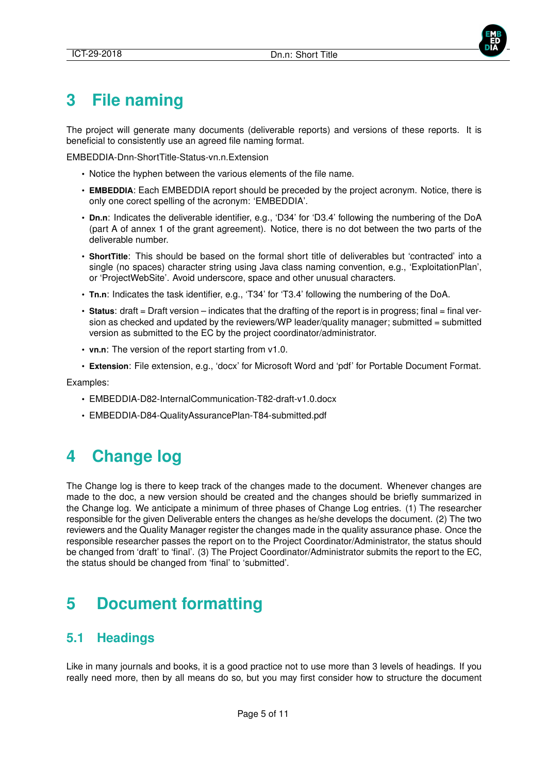# **3 File naming**

The project will generate many documents (deliverable reports) and versions of these reports. It is beneficial to consistently use an agreed file naming format.

EMBEDDIA-Dnn-ShortTitle-Status-vn.n.Extension

- Notice the hyphen between the various elements of the file name.
- **EMBEDDIA**: Each EMBEDDIA report should be preceded by the project acronym. Notice, there is only one corect spelling of the acronym: 'EMBEDDIA'.
- **Dn.n**: Indicates the deliverable identifier, e.g., 'D34' for 'D3.4' following the numbering of the DoA (part A of annex 1 of the grant agreement). Notice, there is no dot between the two parts of the deliverable number.
- **ShortTitle**: This should be based on the formal short title of deliverables but 'contracted' into a single (no spaces) character string using Java class naming convention, e.g., 'ExploitationPlan', or 'ProjectWebSite'. Avoid underscore, space and other unusual characters.
- **Tn.n**: Indicates the task identifier, e.g., 'T34' for 'T3.4' following the numbering of the DoA.
- **Status**: draft = Draft version indicates that the drafting of the report is in progress; final = final version as checked and updated by the reviewers/WP leader/quality manager; submitted = submitted version as submitted to the EC by the project coordinator/administrator.
- **vn.n**: The version of the report starting from v1.0.
- **Extension**: File extension, e.g., 'docx' for Microsoft Word and 'pdf' for Portable Document Format.

Examples:

- EMBEDDIA-D82-InternalCommunication-T82-draft-v1.0.docx
- EMBEDDIA-D84-QualityAssurancePlan-T84-submitted.pdf

# **4 Change log**

The Change log is there to keep track of the changes made to the document. Whenever changes are made to the doc, a new version should be created and the changes should be briefly summarized in the Change log. We anticipate a minimum of three phases of Change Log entries. (1) The researcher responsible for the given Deliverable enters the changes as he/she develops the document. (2) The two reviewers and the Quality Manager register the changes made in the quality assurance phase. Once the responsible researcher passes the report on to the Project Coordinator/Administrator, the status should be changed from 'draft' to 'final'. (3) The Project Coordinator/Administrator submits the report to the EC, the status should be changed from 'final' to 'submitted'.

# **5 Document formatting**

### **5.1 Headings**

Like in many journals and books, it is a good practice not to use more than 3 levels of headings. If you really need more, then by all means do so, but you may first consider how to structure the document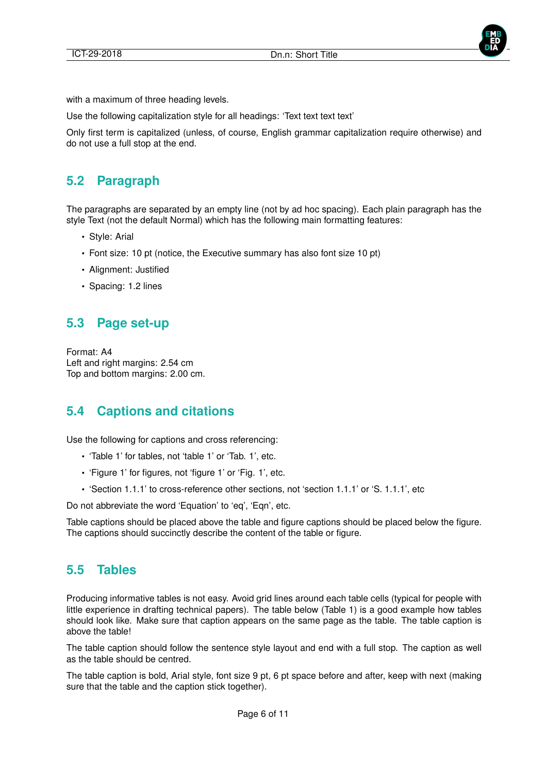



with a maximum of three heading levels.

Use the following capitalization style for all headings: 'Text text text text'

Only first term is capitalized (unless, of course, English grammar capitalization require otherwise) and do not use a full stop at the end.

# **5.2 Paragraph**

The paragraphs are separated by an empty line (not by ad hoc spacing). Each plain paragraph has the style Text (not the default Normal) which has the following main formatting features:

- Style: Arial
- Font size: 10 pt (notice, the Executive summary has also font size 10 pt)
- Alignment: Justified
- Spacing: 1.2 lines

# **5.3 Page set-up**

Format: A4 Left and right margins: 2.54 cm Top and bottom margins: 2.00 cm.

# **5.4 Captions and citations**

Use the following for captions and cross referencing:

- 'Table 1' for tables, not 'table 1' or 'Tab. 1', etc.
- 'Figure 1' for figures, not 'figure 1' or 'Fig. 1', etc.
- 'Section 1.1.1' to cross-reference other sections, not 'section 1.1.1' or 'S. 1.1.1', etc

Do not abbreviate the word 'Equation' to 'eq', 'Eqn', etc.

Table captions should be placed above the table and figure captions should be placed below the figure. The captions should succinctly describe the content of the table or figure.

#### **5.5 Tables**

Producing informative tables is not easy. Avoid grid lines around each table cells (typical for people with little experience in drafting technical papers). The table below (Table 1) is a good example how tables should look like. Make sure that caption appears on the same page as the table. The table caption is above the table!

The table caption should follow the sentence style layout and end with a full stop. The caption as well as the table should be centred.

The table caption is bold, Arial style, font size 9 pt, 6 pt space before and after, keep with next (making sure that the table and the caption stick together).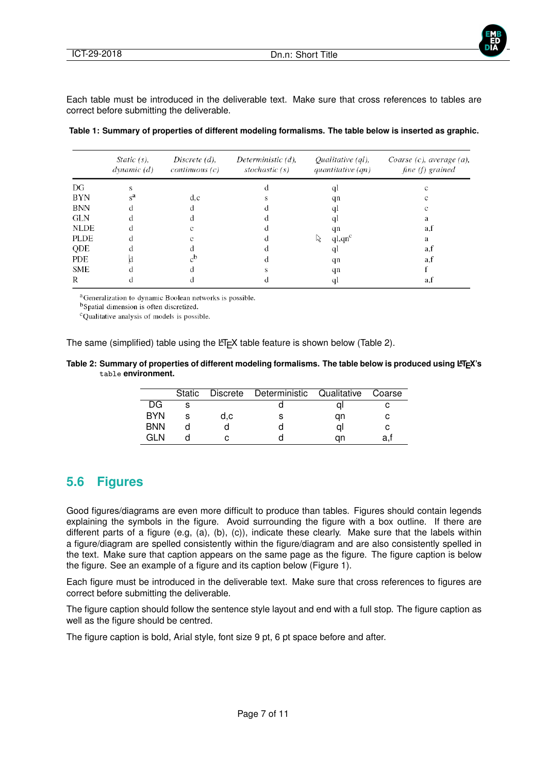

Each table must be introduced in the deliverable text. Make sure that cross references to tables are correct before submitting the deliverable.

|  |  | Table 1: Summary of properties of different modeling formalisms. The table below is inserted as graphic. |
|--|--|----------------------------------------------------------------------------------------------------------|
|  |  |                                                                                                          |

|             | Static $(s)$ ,<br>dynamic(d) | Discrete $(d)$ ,<br>continuous(c) | Deterministic $(d)$ ,<br>stochastic $(s)$ | Qualitative $\left( ql\right)$ ,<br>quantitative $(qn)$ | Coarse $(c)$ , average $(a)$ ,<br>fine (f) grained |
|-------------|------------------------------|-----------------------------------|-------------------------------------------|---------------------------------------------------------|----------------------------------------------------|
| DG          | s                            |                                   |                                           | q.                                                      |                                                    |
| BYN         | $\mathbf{s}^{\mathbf{a}}$    | d,c                               |                                           | qn                                                      |                                                    |
| <b>BNN</b>  |                              |                                   |                                           | q.                                                      |                                                    |
| <b>GLN</b>  |                              |                                   |                                           | qІ                                                      |                                                    |
| <b>NLDE</b> |                              |                                   |                                           | qn                                                      | a,t                                                |
| <b>PLDE</b> |                              |                                   |                                           | ql,qn <sup>c</sup><br>ド                                 | a                                                  |
| QDE         |                              |                                   |                                           | qI                                                      | a,f                                                |
| PDE         |                              | $\alpha$                          |                                           | qn                                                      | a,f                                                |
| <b>SME</b>  |                              |                                   |                                           | qn                                                      |                                                    |
| R           |                              |                                   |                                           | qı                                                      | a,t                                                |

<sup>a</sup>Generalization to dynamic Boolean networks is possible.

<sup>b</sup>Spatial dimension is often discretized.

<sup>c</sup>Qualitative analysis of models is possible.

The same (simplified) table using the LATEX table feature is shown below (Table 2).

#### Table 2: Summary of properties of different modeling formalisms. The table below is produced using LATEX's table **environment.**

|            | <b>Static</b> |     | Discrete Deterministic Qualitative |    | Coarse |
|------------|---------------|-----|------------------------------------|----|--------|
| DG         |               |     |                                    |    |        |
| <b>BYN</b> |               | d.c |                                    | an |        |
| <b>BNN</b> |               |     |                                    |    |        |
| ำเพ        |               |     |                                    | an | a.     |

#### **5.6 Figures**

Good figures/diagrams are even more difficult to produce than tables. Figures should contain legends explaining the symbols in the figure. Avoid surrounding the figure with a box outline. If there are different parts of a figure (e.g, (a), (b), (c)), indicate these clearly. Make sure that the labels within a figure/diagram are spelled consistently within the figure/diagram and are also consistently spelled in the text. Make sure that caption appears on the same page as the figure. The figure caption is below the figure. See an example of a figure and its caption below (Figure 1).

Each figure must be introduced in the deliverable text. Make sure that cross references to figures are correct before submitting the deliverable.

The figure caption should follow the sentence style layout and end with a full stop. The figure caption as well as the figure should be centred.

The figure caption is bold, Arial style, font size 9 pt, 6 pt space before and after.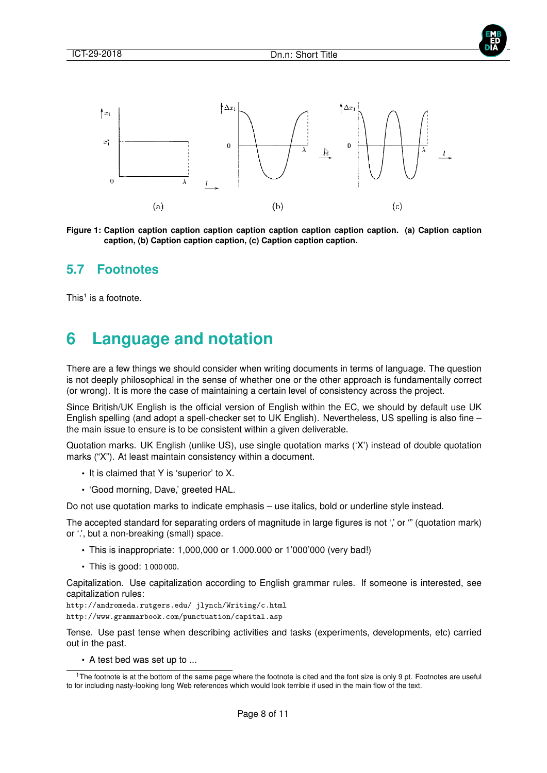



**Figure 1: Caption caption caption caption caption caption caption caption caption. (a) Caption caption caption, (b) Caption caption caption, (c) Caption caption caption.**

#### **5.7 Footnotes**

This<sup>1</sup> is a footnote.

# **6 Language and notation**

There are a few things we should consider when writing documents in terms of language. The question is not deeply philosophical in the sense of whether one or the other approach is fundamentally correct (or wrong). It is more the case of maintaining a certain level of consistency across the project.

Since British/UK English is the official version of English within the EC, we should by default use UK English spelling (and adopt a spell-checker set to UK English). Nevertheless, US spelling is also fine – the main issue to ensure is to be consistent within a given deliverable.

Quotation marks. UK English (unlike US), use single quotation marks ('X') instead of double quotation marks ("X"). At least maintain consistency within a document.

- It is claimed that Y is 'superior' to X.
- 'Good morning, Dave,' greeted HAL.

Do not use quotation marks to indicate emphasis – use italics, bold or underline style instead.

The accepted standard for separating orders of magnitude in large figures is not ',' or "" (quotation mark) or '.', but a non-breaking (small) space.

- This is inappropriate: 1,000,000 or 1.000.000 or 1'000'000 (very bad!)
- This is good: 1 000 000.

Capitalization. Use capitalization according to English grammar rules. If someone is interested, see capitalization rules:

http://andromeda.rutgers.edu/ jlynch/Writing/c.html http://www.grammarbook.com/punctuation/capital.asp

Tense. Use past tense when describing activities and tasks (experiments, developments, etc) carried out in the past.

• A test bed was set up to ...

<sup>&</sup>lt;sup>1</sup>The footnote is at the bottom of the same page where the footnote is cited and the font size is only 9 pt. Footnotes are useful to for including nasty-looking long Web references which would look terrible if used in the main flow of the text.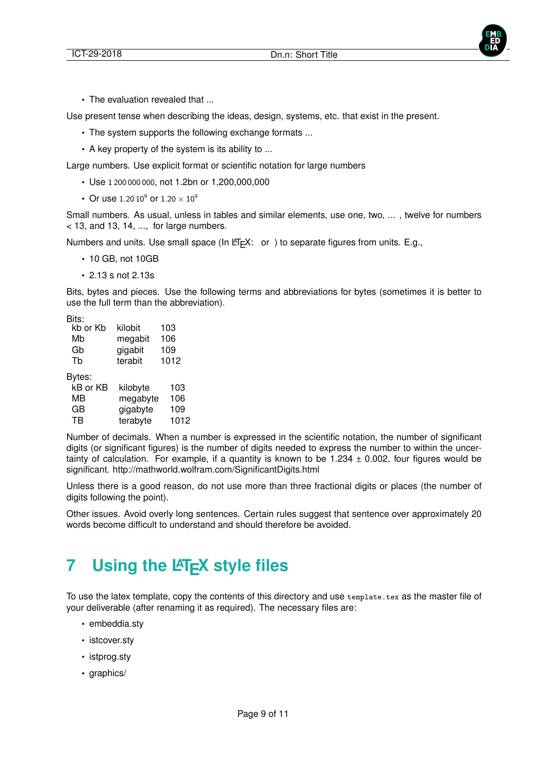

• The evaluation revealed that ...

Use present tense when describing the ideas, design, systems, etc. that exist in the present.

- The system supports the following exchange formats ...
- A key property of the system is its ability to ...

Large numbers. Use explicit format or scientific notation for large numbers

- Use 1 200 000 000, not 1.2bn or 1,200,000,000
- Or use 1.20  $10^9$  or  $1.20 \times 10^9$

Small numbers. As usual, unless in tables and similar elements, use one, two, ... , twelve for numbers  $<$  13, and 13, 14, ..., for large numbers.

Numbers and units. Use small space (In  $ETFX$ : or ) to separate figures from units. E.g.,

- 10 GB, not 10GB
- 2.13 s not 2.13s

Bits, bytes and pieces. Use the following terms and abbreviations for bytes (sometimes it is better to use the full term than the abbreviation).

Bits:

| kb or Kb | kilobit | 103  |
|----------|---------|------|
| Mb       | megabit | 106  |
| Gb       | gigabit | 109  |
| Tb       | terabit | 1012 |
| vtes:    |         |      |

By

| kB or KB | kilobyte | 103  |
|----------|----------|------|
| мв       | megabyte | 106  |
| GB       | gigabyte | 109  |
| TB       | terabyte | 1012 |

Number of decimals. When a number is expressed in the scientific notation, the number of significant digits (or significant figures) is the number of digits needed to express the number to within the uncertainty of calculation. For example, if a quantity is known to be 1.234  $\pm$  0.002, four figures would be significant. http://mathworld.wolfram.com/SignificantDigits.html

Unless there is a good reason, do not use more than three fractional digits or places (the number of digits following the point).

Other issues. Avoid overly long sentences. Certain rules suggest that sentence over approximately 20 words become difficult to understand and should therefore be avoided.

# **7** Using the LAT<sub>F</sub>X style files

To use the latex template, copy the contents of this directory and use template.tex as the master file of your deliverable (after renaming it as required). The necessary files are:

- embeddia.sty
- istcover.sty
- istprog.sty
- graphics/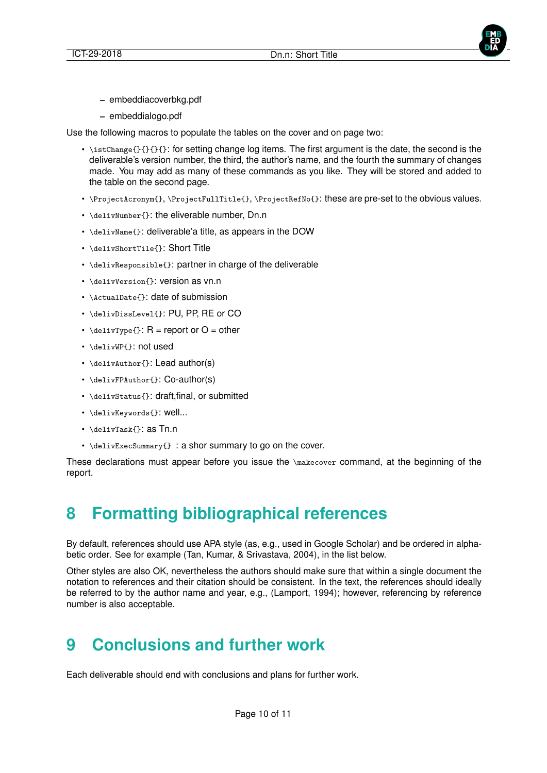

- **–** embeddiacoverbkg.pdf
- **–** embeddialogo.pdf

Use the following macros to populate the tables on the cover and on page two:

- $\cdot$  \istChange{}{}{}{}: for setting change log items. The first argument is the date, the second is the deliverable's version number, the third, the author's name, and the fourth the summary of changes made. You may add as many of these commands as you like. They will be stored and added to the table on the second page.
- \ProjectAcronym{}, \ProjectFullTitle{}, \ProjectRefNo{}: these are pre-set to the obvious values.
- \delivNumber{}: the eliverable number, Dn.n
- \delivName{}: deliverable'a title, as appears in the DOW
- \delivShortTile{}: Short Title
- \delivResponsible{}: partner in charge of the deliverable
- \delivVersion{}: version as vn.n
- \ActualDate{}: date of submission
- \delivDissLevel{}: PU, PP, RE or CO
- $\delta$  \delivType{}: R = report or O = other
- \delivWP{}: not used
- \delivAuthor{}: Lead author(s)
- \delivFPAuthor{}: Co-author(s)
- \delivStatus{}: draft,final, or submitted
- \delivKeywords{}: well...
- \delivTask{}: as Tn.n
- \delivExecSummary{} : a shor summary to go on the cover.

These declarations must appear before you issue the \makecover command, at the beginning of the report.

# **8 Formatting bibliographical references**

By default, references should use APA style (as, e.g., used in Google Scholar) and be ordered in alphabetic order. See for example (Tan, Kumar, & Srivastava, 2004), in the list below.

Other styles are also OK, nevertheless the authors should make sure that within a single document the notation to references and their citation should be consistent. In the text, the references should ideally be referred to by the author name and year, e.g., (Lamport, 1994); however, referencing by reference number is also acceptable.

# **9 Conclusions and further work**

Each deliverable should end with conclusions and plans for further work.